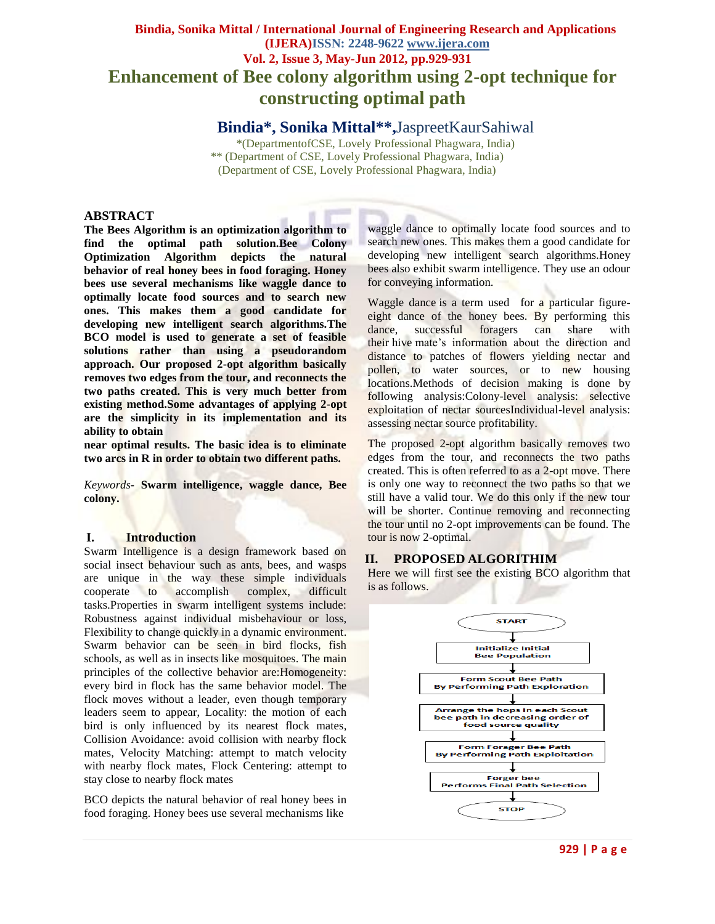# **Bindia, Sonika Mittal / International Journal of Engineering Research and Applications (IJERA)ISSN: 2248-9622 www.ijera.com Vol. 2, Issue 3, May-Jun 2012, pp.929-931 Enhancement of Bee colony algorithm using 2-opt technique for constructing optimal path**

**Bindia\*, Sonika Mittal\*\* ,**JaspreetKaurSahiwal

\*(DepartmentofCSE, Lovely Professional Phagwara, India) \*\* (Department of CSE, Lovely Professional Phagwara, India) (Department of CSE, Lovely Professional Phagwara, India)

#### **ABSTRACT**

**The Bees Algorithm is an optimization algorithm to find the optimal path solution.Bee Colony Optimization Algorithm depicts the natural behavior of real honey bees in food foraging. Honey bees use several mechanisms like waggle dance to optimally locate food sources and to search new ones. This makes them a good candidate for developing new intelligent search algorithms.The BCO model is used to generate a set of feasible solutions rather than using a pseudorandom approach. Our proposed 2-opt algorithm basically removes two edges from the tour, and reconnects the two paths created. This is very much better from existing method.Some advantages of applying 2-opt are the simplicity in its implementation and its ability to obtain** 

**near optimal results. The basic idea is to eliminate two arcs in R in order to obtain two different paths.**

*Keywords***- Swarm intelligence, waggle dance, Bee colony.**

#### **I. Introduction**

Swarm Intelligence is a design framework based on social insect behaviour such as ants, bees, and wasps are unique in the way these simple individuals cooperate to accomplish complex, difficult tasks.Properties in swarm intelligent systems include: Robustness against individual misbehaviour or loss, Flexibility to change quickly in a dynamic environment. Swarm behavior can be seen in bird flocks, fish schools, as well as in insects like mosquitoes. The main principles of the collective behavior are:Homogeneity: every bird in flock has the same behavior model. The flock moves without a leader, even though temporary leaders seem to appear, Locality: the motion of each bird is only influenced by its nearest flock mates, Collision Avoidance: avoid collision with nearby flock mates, Velocity Matching: attempt to match velocity with nearby flock mates, Flock Centering: attempt to stay close to nearby flock mates

BCO depicts the natural behavior of real honey bees in food foraging. Honey bees use several mechanisms like

waggle dance to optimally locate food sources and to search new ones. This makes them a good candidate for developing new intelligent search algorithms.Honey bees also exhibit swarm intelligence. They use an odour for conveying information.

Waggle dance is a term used for a particular figureeight dance of the honey bees. By performing this dance, successful foragers can share with their hive mate's information about the direction and distance to patches of flowers yielding nectar and pollen, to water sources, or to new housing locations.Methods of decision making is done by following analysis:Colony-level analysis: selective exploitation of nectar sourcesIndividual-level analysis: assessing nectar source profitability.

The proposed 2-opt algorithm basically removes two edges from the tour, and reconnects the two paths created. This is often referred to as a 2-opt move. There is only one way to reconnect the two paths so that we still have a valid tour. We do this only if the new tour will be shorter. Continue removing and reconnecting the tour until no 2-opt improvements can be found. The tour is now 2-optimal.

## **II. PROPOSED ALGORITHIM**

Here we will first see the existing BCO algorithm that is as follows.

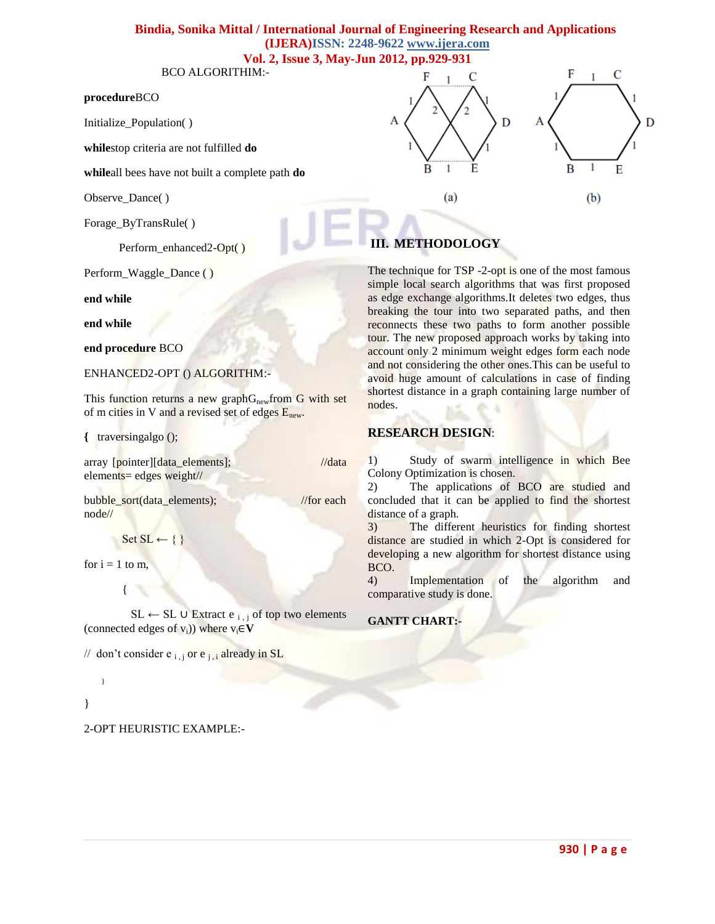## **Bindia, Sonika Mittal / International Journal of Engineering Research and Applications (IJERA)ISSN: 2248-9622 www.ijera.com Vol. 2, Issue 3, May-Jun 2012, pp.929-931**

BCO ALGORITHIM:-

#### **procedure**BCO

Initialize\_Population( )

**while**stop criteria are not fulfilled **do**

**while**all bees have not built a complete path **do**

Observe\_Dance( )

Forage\_ByTransRule( )

Perform\_enhanced2-Opt()

Perform\_Waggle\_Dance ( )

**end while**

**end while**

**end procedure** BCO

ENHANCED2-OPT () ALGORITHM:-

This function returns a new graph $G_{\text{new}}$  from G with set of m cities in V and a revised set of edges  $E<sub>new</sub>$ .

**{** traversingalgo ();

array [pointer][data\_elements]; //data elements= edges weight//

bubble\_sort(data\_elements); //for each node//

```
Set SL \leftarrow \{\}
```
for  $i = 1$  to m.

 $\{$ 

SL ← SL ∪ Extract e  $_{i,i}$  of top two elements (connected edges of  $v_i$ )) where  $v_i \in V$ 

// don't consider  $e_{i,j}$  or  $e_{j,i}$  already in SL

# }

}

2-OPT HEURISTIC EXAMPLE:-



# **III. METHODOLOGY**

The technique for TSP -2-opt is one of the most famous simple local search algorithms that was first proposed as edge exchange algorithms.It deletes two edges, thus breaking the tour into two separated paths, and then reconnects these two paths to form another possible tour. The new proposed approach works by taking into account only 2 minimum weight edges form each node and not considering the other ones. This can be useful to avoid huge amount of calculations in case of finding shortest distance in a graph containing large number of nodes.

## **RESEARCH DESIGN**:

1) Study of swarm intelligence in which Bee Colony Optimization is chosen.

2) The applications of BCO are studied and concluded that it can be applied to find the shortest distance of a graph.

3) The different heuristics for finding shortest distance are studied in which 2-Opt is considered for developing a new algorithm for shortest distance using BCO.

4) Implementation of the algorithm and comparative study is done.

#### **GANTT CHART:-**